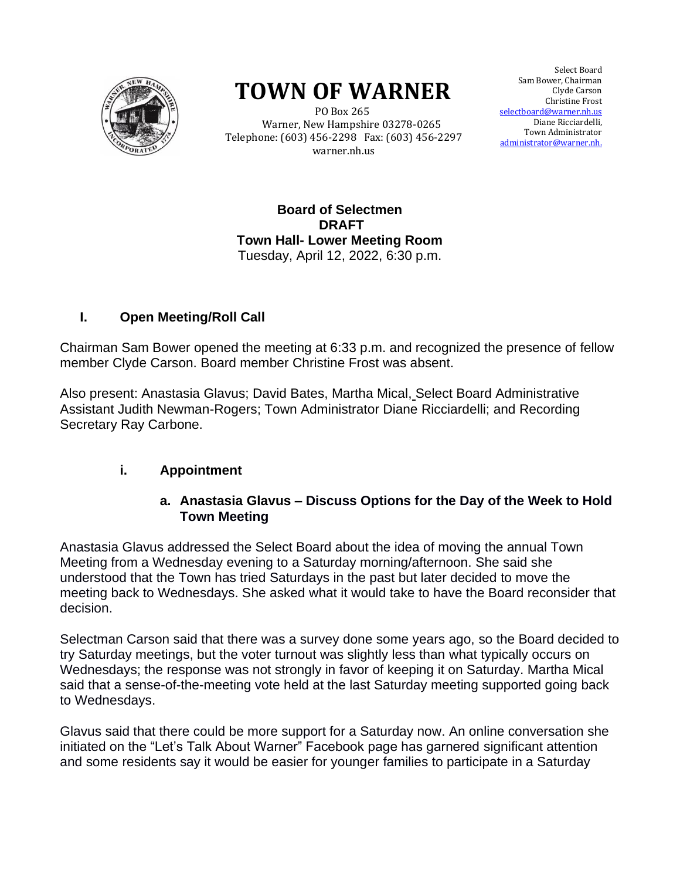

# **TOWN OF WARNER**

 PO Box 265 Warner, New Hampshire 03278-0265 Telephone: (603) 456-2298 Fax: (603) 456-2297 warner.nh.us

Select Board Sam Bower, Chairman Clyde Carson Clyde Carson Christine Christine Frost selectboard@warner.nh.us Diane Ricciardelli, Town Administrator <u>istrator@warner.nh.</u> Town Administrator<br>administrator@warner.nh.

**Board of Selectmen DRAFT Town Hall- Lower Meeting Room** Tuesday, April 12, 2022, 6:30 p.m.

#### **I. Open Meeting/Roll Call**

Chairman Sam Bower opened the meeting at 6:33 p.m. and recognized the presence of fellow member Clyde Carson. Board member Christine Frost was absent.

Also present: Anastasia Glavus; David Bates, Martha Mical, Select Board Administrative Assistant Judith Newman-Rogers; Town Administrator Diane Ricciardelli; and Recording Secretary Ray Carbone.

#### **i. Appointment**

#### **a. Anastasia Glavus – Discuss Options for the Day of the Week to Hold Town Meeting**

Anastasia Glavus addressed the Select Board about the idea of moving the annual Town Meeting from a Wednesday evening to a Saturday morning/afternoon. She said she understood that the Town has tried Saturdays in the past but later decided to move the meeting back to Wednesdays. She asked what it would take to have the Board reconsider that decision.

Selectman Carson said that there was a survey done some years ago, so the Board decided to try Saturday meetings, but the voter turnout was slightly less than what typically occurs on Wednesdays; the response was not strongly in favor of keeping it on Saturday. Martha Mical said that a sense-of-the-meeting vote held at the last Saturday meeting supported going back to Wednesdays.

Glavus said that there could be more support for a Saturday now. An online conversation she initiated on the "Let's Talk About Warner" Facebook page has garnered significant attention and some residents say it would be easier for younger families to participate in a Saturday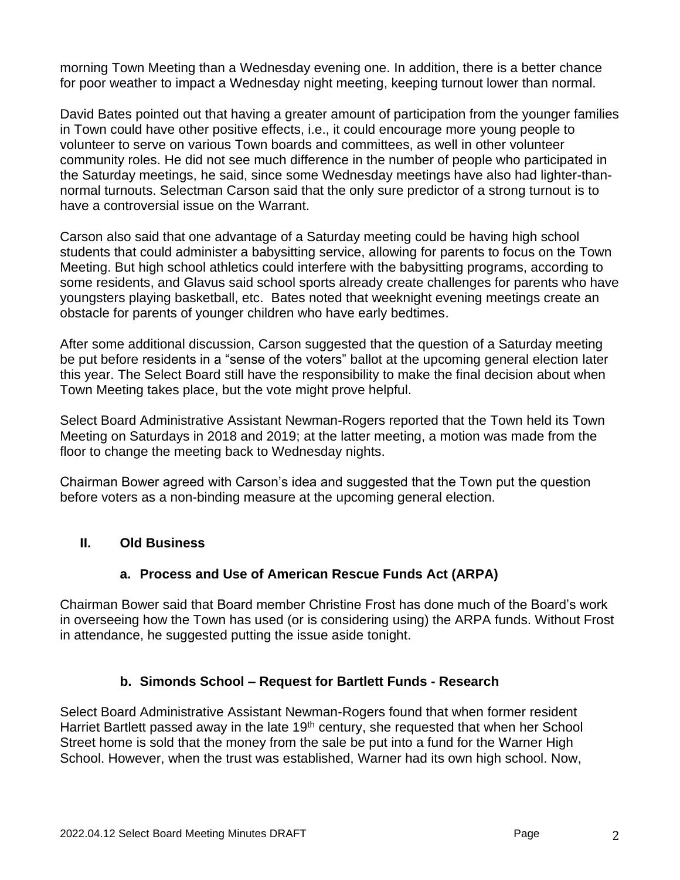morning Town Meeting than a Wednesday evening one. In addition, there is a better chance for poor weather to impact a Wednesday night meeting, keeping turnout lower than normal.

David Bates pointed out that having a greater amount of participation from the younger families in Town could have other positive effects, i.e., it could encourage more young people to volunteer to serve on various Town boards and committees, as well in other volunteer community roles. He did not see much difference in the number of people who participated in the Saturday meetings, he said, since some Wednesday meetings have also had lighter-thannormal turnouts. Selectman Carson said that the only sure predictor of a strong turnout is to have a controversial issue on the Warrant.

Carson also said that one advantage of a Saturday meeting could be having high school students that could administer a babysitting service, allowing for parents to focus on the Town Meeting. But high school athletics could interfere with the babysitting programs, according to some residents, and Glavus said school sports already create challenges for parents who have youngsters playing basketball, etc. Bates noted that weeknight evening meetings create an obstacle for parents of younger children who have early bedtimes.

After some additional discussion, Carson suggested that the question of a Saturday meeting be put before residents in a "sense of the voters" ballot at the upcoming general election later this year. The Select Board still have the responsibility to make the final decision about when Town Meeting takes place, but the vote might prove helpful.

Select Board Administrative Assistant Newman-Rogers reported that the Town held its Town Meeting on Saturdays in 2018 and 2019; at the latter meeting, a motion was made from the floor to change the meeting back to Wednesday nights.

Chairman Bower agreed with Carson's idea and suggested that the Town put the question before voters as a non-binding measure at the upcoming general election.

#### **II. Old Business**

## **a. Process and Use of American Rescue Funds Act (ARPA)**

Chairman Bower said that Board member Christine Frost has done much of the Board's work in overseeing how the Town has used (or is considering using) the ARPA funds. Without Frost in attendance, he suggested putting the issue aside tonight.

## **b. Simonds School – Request for Bartlett Funds - Research**

Select Board Administrative Assistant Newman-Rogers found that when former resident Harriet Bartlett passed away in the late 19<sup>th</sup> century, she requested that when her School Street home is sold that the money from the sale be put into a fund for the Warner High School. However, when the trust was established, Warner had its own high school. Now,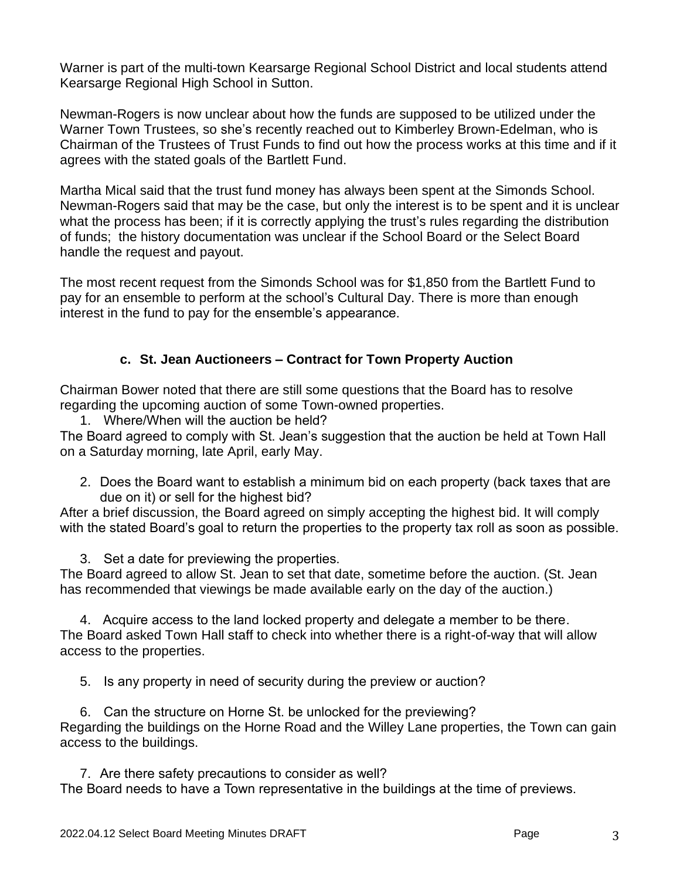Warner is part of the multi-town Kearsarge Regional School District and local students attend Kearsarge Regional High School in Sutton.

Newman-Rogers is now unclear about how the funds are supposed to be utilized under the Warner Town Trustees, so she's recently reached out to Kimberley Brown-Edelman, who is Chairman of the Trustees of Trust Funds to find out how the process works at this time and if it agrees with the stated goals of the Bartlett Fund.

Martha Mical said that the trust fund money has always been spent at the Simonds School. Newman-Rogers said that may be the case, but only the interest is to be spent and it is unclear what the process has been; if it is correctly applying the trust's rules regarding the distribution of funds; the history documentation was unclear if the School Board or the Select Board handle the request and payout.

The most recent request from the Simonds School was for \$1,850 from the Bartlett Fund to pay for an ensemble to perform at the school's Cultural Day. There is more than enough interest in the fund to pay for the ensemble's appearance.

#### **c. St. Jean Auctioneers – Contract for Town Property Auction**

Chairman Bower noted that there are still some questions that the Board has to resolve regarding the upcoming auction of some Town-owned properties.

1. Where/When will the auction be held?

The Board agreed to comply with St. Jean's suggestion that the auction be held at Town Hall on a Saturday morning, late April, early May.

2. Does the Board want to establish a minimum bid on each property (back taxes that are due on it) or sell for the highest bid?

After a brief discussion, the Board agreed on simply accepting the highest bid. It will comply with the stated Board's goal to return the properties to the property tax roll as soon as possible.

3. Set a date for previewing the properties.

The Board agreed to allow St. Jean to set that date, sometime before the auction. (St. Jean has recommended that viewings be made available early on the day of the auction.)

4. Acquire access to the land locked property and delegate a member to be there. The Board asked Town Hall staff to check into whether there is a right-of-way that will allow access to the properties.

5. Is any property in need of security during the preview or auction?

6. Can the structure on Horne St. be unlocked for the previewing? Regarding the buildings on the Horne Road and the Willey Lane properties, the Town can gain access to the buildings.

7. Are there safety precautions to consider as well? The Board needs to have a Town representative in the buildings at the time of previews.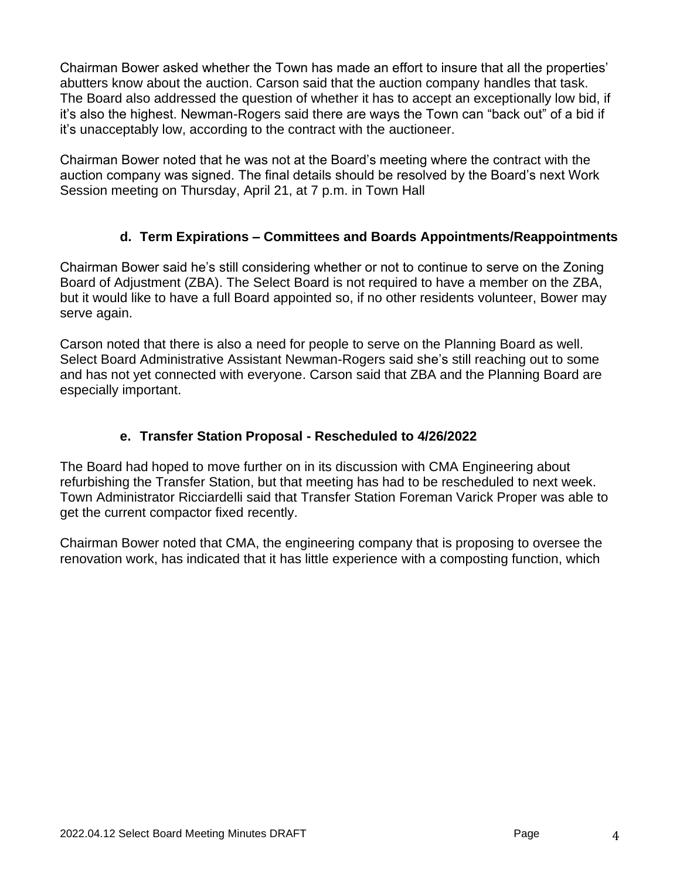Chairman Bower asked whether the Town has made an effort to insure that all the properties' abutters know about the auction. Carson said that the auction company handles that task. The Board also addressed the question of whether it has to accept an exceptionally low bid, if it's also the highest. Newman-Rogers said there are ways the Town can "back out" of a bid if it's unacceptably low, according to the contract with the auctioneer.

Chairman Bower noted that he was not at the Board's meeting where the contract with the auction company was signed. The final details should be resolved by the Board's next Work Session meeting on Thursday, April 21, at 7 p.m. in Town Hall

#### **d. Term Expirations – Committees and Boards Appointments/Reappointments**

Chairman Bower said he's still considering whether or not to continue to serve on the Zoning Board of Adjustment (ZBA). The Select Board is not required to have a member on the ZBA, but it would like to have a full Board appointed so, if no other residents volunteer, Bower may serve again.

Carson noted that there is also a need for people to serve on the Planning Board as well. Select Board Administrative Assistant Newman-Rogers said she's still reaching out to some and has not yet connected with everyone. Carson said that ZBA and the Planning Board are especially important.

#### **e. Transfer Station Proposal - Rescheduled to 4/26/2022**

The Board had hoped to move further on in its discussion with CMA Engineering about refurbishing the Transfer Station, but that meeting has had to be rescheduled to next week. Town Administrator Ricciardelli said that Transfer Station Foreman Varick Proper was able to get the current compactor fixed recently.

Chairman Bower noted that CMA, the engineering company that is proposing to oversee the renovation work, has indicated that it has little experience with a composting function, which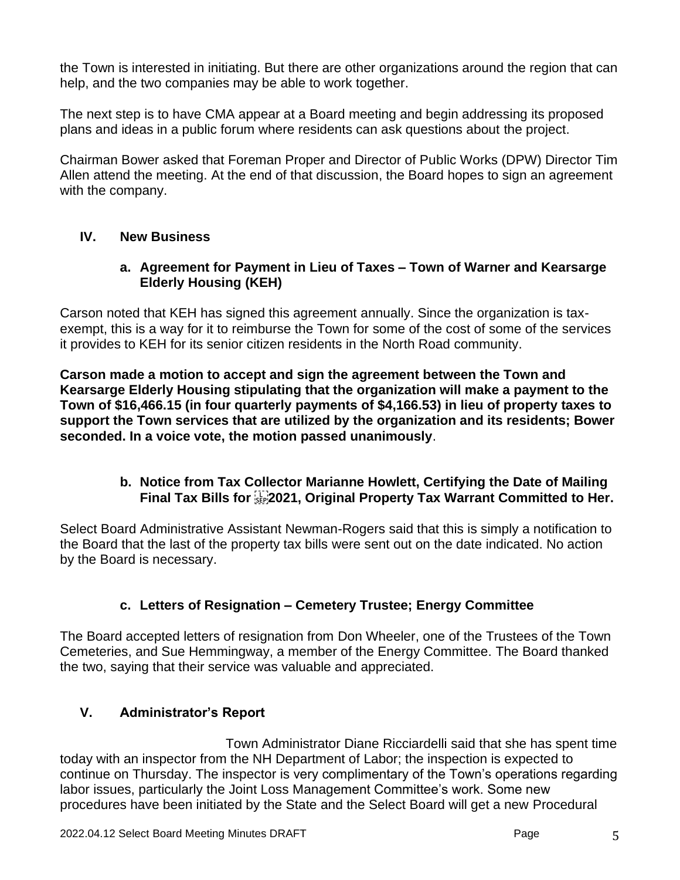the Town is interested in initiating. But there are other organizations around the region that can help, and the two companies may be able to work together.

The next step is to have CMA appear at a Board meeting and begin addressing its proposed plans and ideas in a public forum where residents can ask questions about the project.

Chairman Bower asked that Foreman Proper and Director of Public Works (DPW) Director Tim Allen attend the meeting. At the end of that discussion, the Board hopes to sign an agreement with the company.

#### **IV. New Business**

#### **a. Agreement for Payment in Lieu of Taxes – Town of Warner and Kearsarge Elderly Housing (KEH)**

Carson noted that KEH has signed this agreement annually. Since the organization is taxexempt, this is a way for it to reimburse the Town for some of the cost of some of the services it provides to KEH for its senior citizen residents in the North Road community.

**Carson made a motion to accept and sign the agreement between the Town and Kearsarge Elderly Housing stipulating that the organization will make a payment to the Town of \$16,466.15 (in four quarterly payments of \$4,166.53) in lieu of property taxes to support the Town services that are utilized by the organization and its residents; Bower seconded. In a voice vote, the motion passed unanimously**.

#### **b. Notice from Tax Collector Marianne Howlett, Certifying the Date of Mailing Final Tax Bills for 2021, Original Property Tax Warrant Committed to Her.**

Select Board Administrative Assistant Newman-Rogers said that this is simply a notification to the Board that the last of the property tax bills were sent out on the date indicated. No action by the Board is necessary.

## **c. Letters of Resignation – Cemetery Trustee; Energy Committee**

The Board accepted letters of resignation from Don Wheeler, one of the Trustees of the Town Cemeteries, and Sue Hemmingway, a member of the Energy Committee. The Board thanked the two, saying that their service was valuable and appreciated.

## **V. Administrator's Report**

Town Administrator Diane Ricciardelli said that she has spent time today with an inspector from the NH Department of Labor; the inspection is expected to continue on Thursday. The inspector is very complimentary of the Town's operations regarding labor issues, particularly the Joint Loss Management Committee's work. Some new procedures have been initiated by the State and the Select Board will get a new Procedural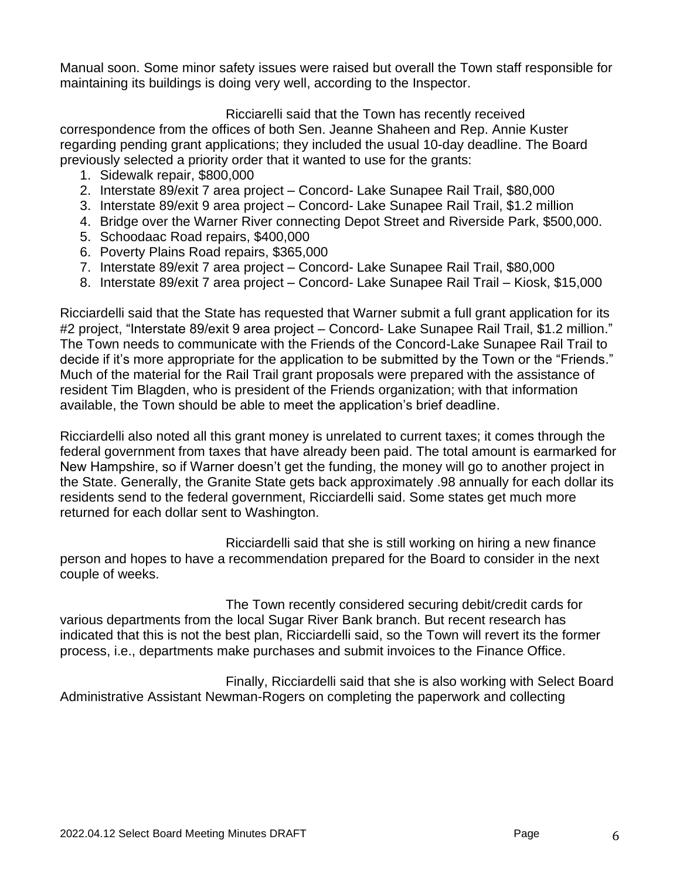Manual soon. Some minor safety issues were raised but overall the Town staff responsible for maintaining its buildings is doing very well, according to the Inspector.

#### Ricciarelli said that the Town has recently received

correspondence from the offices of both Sen. Jeanne Shaheen and Rep. Annie Kuster regarding pending grant applications; they included the usual 10-day deadline. The Board previously selected a priority order that it wanted to use for the grants:

- 1. Sidewalk repair, \$800,000
- 2. Interstate 89/exit 7 area project Concord- Lake Sunapee Rail Trail, \$80,000
- 3. Interstate 89/exit 9 area project Concord- Lake Sunapee Rail Trail, \$1.2 million
- 4. Bridge over the Warner River connecting Depot Street and Riverside Park, \$500,000.
- 5. Schoodaac Road repairs, \$400,000
- 6. Poverty Plains Road repairs, \$365,000
- 7. Interstate 89/exit 7 area project Concord- Lake Sunapee Rail Trail, \$80,000
- 8. Interstate 89/exit 7 area project Concord- Lake Sunapee Rail Trail Kiosk, \$15,000

Ricciardelli said that the State has requested that Warner submit a full grant application for its #2 project, "Interstate 89/exit 9 area project – Concord- Lake Sunapee Rail Trail, \$1.2 million." The Town needs to communicate with the Friends of the Concord-Lake Sunapee Rail Trail to decide if it's more appropriate for the application to be submitted by the Town or the "Friends." Much of the material for the Rail Trail grant proposals were prepared with the assistance of resident Tim Blagden, who is president of the Friends organization; with that information available, the Town should be able to meet the application's brief deadline.

Ricciardelli also noted all this grant money is unrelated to current taxes; it comes through the federal government from taxes that have already been paid. The total amount is earmarked for New Hampshire, so if Warner doesn't get the funding, the money will go to another project in the State. Generally, the Granite State gets back approximately .98 annually for each dollar its residents send to the federal government, Ricciardelli said. Some states get much more returned for each dollar sent to Washington.

Ricciardelli said that she is still working on hiring a new finance person and hopes to have a recommendation prepared for the Board to consider in the next couple of weeks.

The Town recently considered securing debit/credit cards for various departments from the local Sugar River Bank branch. But recent research has indicated that this is not the best plan, Ricciardelli said, so the Town will revert its the former process, i.e., departments make purchases and submit invoices to the Finance Office.

Finally, Ricciardelli said that she is also working with Select Board Administrative Assistant Newman-Rogers on completing the paperwork and collecting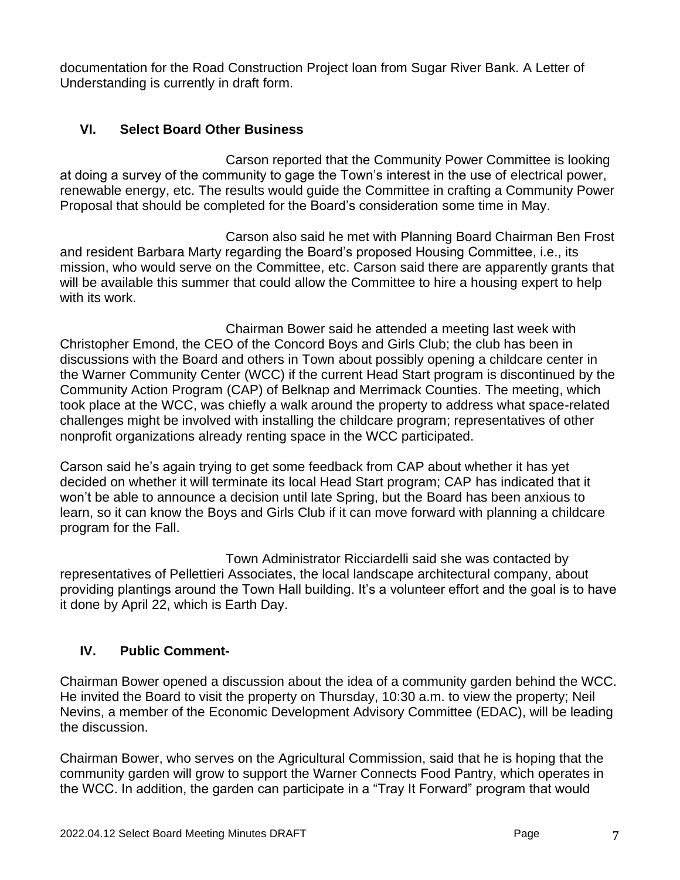documentation for the Road Construction Project loan from Sugar River Bank. A Letter of Understanding is currently in draft form.

#### **VI. Select Board Other Business**

Carson reported that the Community Power Committee is looking at doing a survey of the community to gage the Town's interest in the use of electrical power, renewable energy, etc. The results would guide the Committee in crafting a Community Power Proposal that should be completed for the Board's consideration some time in May.

Carson also said he met with Planning Board Chairman Ben Frost and resident Barbara Marty regarding the Board's proposed Housing Committee, i.e., its mission, who would serve on the Committee, etc. Carson said there are apparently grants that will be available this summer that could allow the Committee to hire a housing expert to help with its work.

Chairman Bower said he attended a meeting last week with Christopher Emond, the CEO of the Concord Boys and Girls Club; the club has been in discussions with the Board and others in Town about possibly opening a childcare center in the Warner Community Center (WCC) if the current Head Start program is discontinued by the Community Action Program (CAP) of Belknap and Merrimack Counties. The meeting, which took place at the WCC, was chiefly a walk around the property to address what space-related challenges might be involved with installing the childcare program; representatives of other nonprofit organizations already renting space in the WCC participated.

Carson said he's again trying to get some feedback from CAP about whether it has yet decided on whether it will terminate its local Head Start program; CAP has indicated that it won't be able to announce a decision until late Spring, but the Board has been anxious to learn, so it can know the Boys and Girls Club if it can move forward with planning a childcare program for the Fall.

Town Administrator Ricciardelli said she was contacted by representatives of Pellettieri Associates, the local landscape architectural company, about providing plantings around the Town Hall building. It's a volunteer effort and the goal is to have it done by April 22, which is Earth Day.

## **IV. Public Comment-**

Chairman Bower opened a discussion about the idea of a community garden behind the WCC. He invited the Board to visit the property on Thursday, 10:30 a.m. to view the property; Neil Nevins, a member of the Economic Development Advisory Committee (EDAC), will be leading the discussion.

Chairman Bower, who serves on the Agricultural Commission, said that he is hoping that the community garden will grow to support the Warner Connects Food Pantry, which operates in the WCC. In addition, the garden can participate in a "Tray It Forward" program that would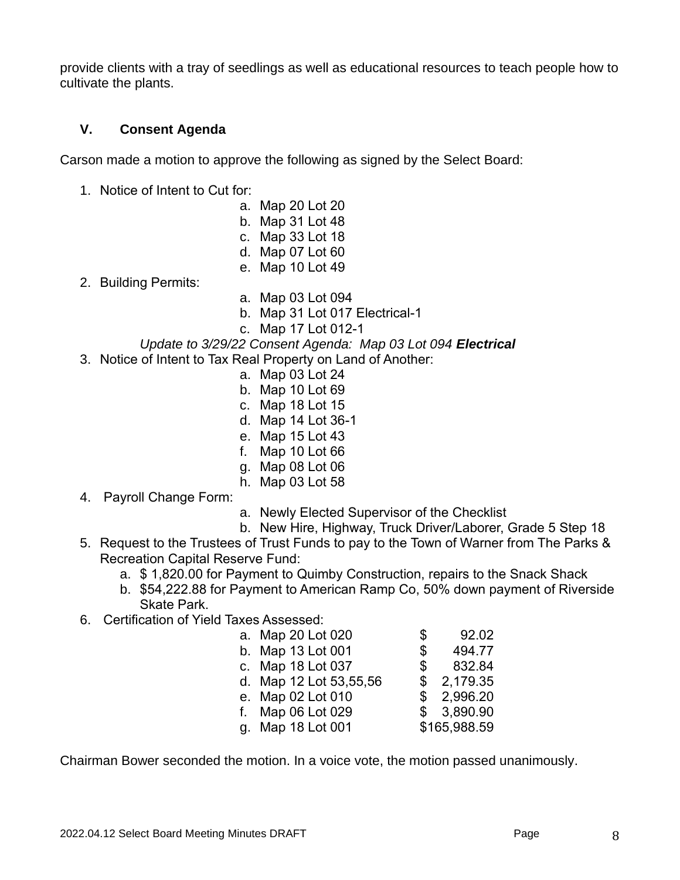provide clients with a tray of seedlings as well as educational resources to teach people how to cultivate the plants.

#### **V. Consent Agenda**

Carson made a motion to approve the following as signed by the Select Board:

- 1. Notice of Intent to Cut for:
	- a. Map 20 Lot 20
	- b. Map 31 Lot 48
	- c. Map 33 Lot 18
	- d. Map 07 Lot 60
	- e. Map 10 Lot 49
- 2. Building Permits:
- a. Map 03 Lot 094
- b. Map 31 Lot 017 Electrical-1
- c. Map 17 Lot 012-1

#### *Update to 3/29/22 Consent Agenda: Map 03 Lot 094 Electrical*

- 3. Notice of Intent to Tax Real Property on Land of Another:
	- a. Map 03 Lot 24
	- b. Map 10 Lot 69
	- c. Map 18 Lot 15
	- d. Map 14 Lot 36-1
	- e. Map 15 Lot 43
	- f. Map 10 Lot 66
	- g. Map 08 Lot 06
	- h. Map 03 Lot 58
- 4. Payroll Change Form:
- a. Newly Elected Supervisor of the Checklist
- b. New Hire, Highway, Truck Driver/Laborer, Grade 5 Step 18
- 5. Request to the Trustees of Trust Funds to pay to the Town of Warner from The Parks & Recreation Capital Reserve Fund:
	- a. \$ 1,820.00 for Payment to Quimby Construction, repairs to the Snack Shack
	- b. \$54,222.88 for Payment to American Ramp Co, 50% down payment of Riverside Skate Park.
- 6. Certification of Yield Taxes Assessed:

| a. Map 20 Lot 020      | \$             | 92.02        |
|------------------------|----------------|--------------|
| b. Map 13 Lot 001      | $\mathbb{S}^-$ | 494.77       |
| c. Map 18 Lot 037      | \$             | 832.84       |
| d. Map 12 Lot 53,55,56 | \$.            | 2,179.35     |
| e. Map 02 Lot 010      |                | \$2,996.20   |
| f. Map 06 Lot 029      |                | \$3,890.90   |
| g. Map 18 Lot 001      |                | \$165,988.59 |

Chairman Bower seconded the motion. In a voice vote, the motion passed unanimously.